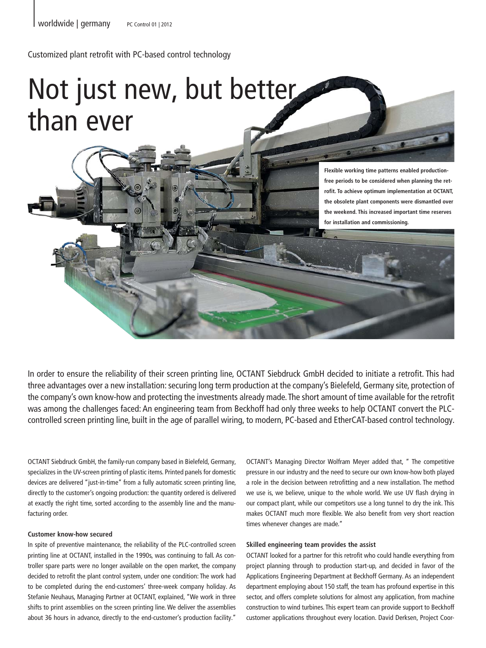Customized plant retrofit with PC-based control technology

# Not just new, but better than ever

**Flexible working time patterns enabled productionfree periods to be considered when planning the retrofit. To achieve optimum implementation at OCTANT, the obsolete plant components were dismantled over the weekend. This increased important time reserves for installation and commissioning.**

In order to ensure the reliability of their screen printing line, OCTANT Siebdruck GmbH decided to initiate a retrofit. This had three advantages over a new installation: securing long term production at the company's Bielefeld, Germany site, protection of the company's own know-how and protecting the investments already made. The short amount of time available for the retrofit was among the challenges faced: An engineering team from Beckhoff had only three weeks to help OCTANT convert the PLCcontrolled screen printing line, built in the age of parallel wiring, to modern, PC-based and EtherCAT-based control technology.

OCTANT Siebdruck GmbH, the family-run company based in Bielefeld, Germany, specializes in the UV-screen printing of plastic items. Printed panels for domestic devices are delivered "just-in-time" from a fully automatic screen printing line, directly to the customer's ongoing production: the quantity ordered is delivered at exactly the right time, sorted according to the assembly line and the manufacturing order.

## **Customer know-how secured**

In spite of preventive maintenance, the reliability of the PLC-controlled screen printing line at OCTANT, installed in the 1990s, was continuing to fall. As controller spare parts were no longer available on the open market, the company decided to retrofit the plant control system, under one condition: The work had to be completed during the end-customers' three-week company holiday. As Stefanie Neuhaus, Managing Partner at OCTANT, explained, "We work in three shifts to print assemblies on the screen printing line. We deliver the assemblies about 36 hours in advance, directly to the end-customer's production facility."

OCTANT's Managing Director Wolfram Meyer added that, " The competitive pressure in our industry and the need to secure our own know-how both played a role in the decision between retrofitting and a new installation. The method we use is, we believe, unique to the whole world. We use UV flash drying in our compact plant, while our competitors use a long tunnel to dry the ink. This makes OCTANT much more flexible. We also benefit from very short reaction times whenever changes are made."

## **Skilled engineering team provides the assist**

OCTANT looked for a partner for this retrofit who could handle everything from project planning through to production start-up, and decided in favor of the Applications Engineering Department at Beckhoff Germany. As an independent department employing about 150 staff, the team has profound expertise in this sector, and offers complete solutions for almost any application, from machine construction to wind turbines. This expert team can provide support to Beckhoff customer applications throughout every location. David Derksen, Project Coor